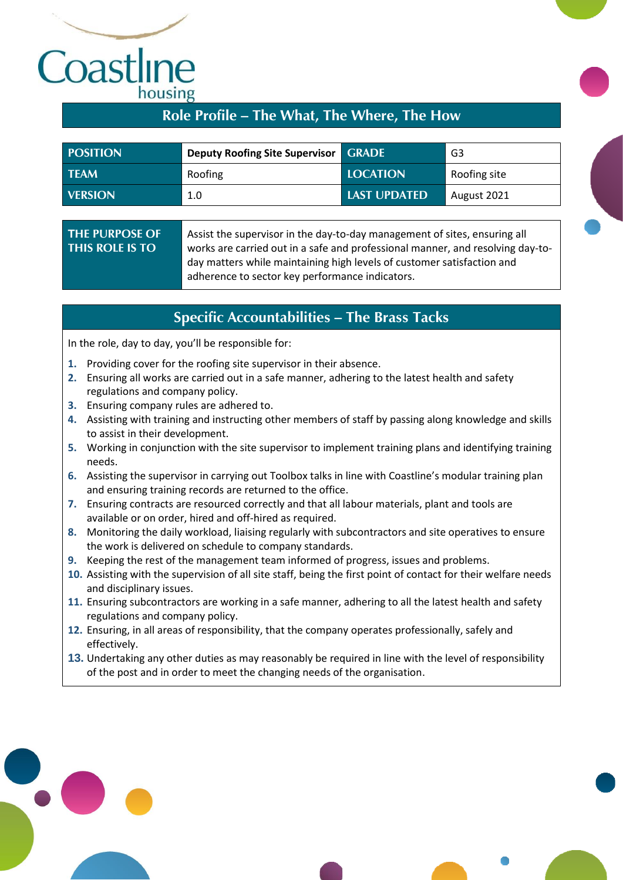## Cornwall TR<sub>1</sub> housing

### **Role Profile – The What, The Where, The How**

| <b>POSITION</b> | <b>Deputy Roofing Site Supervisor GRADE</b> |                 | G3           |
|-----------------|---------------------------------------------|-----------------|--------------|
| <b>TFAM</b>     | Roofing                                     | <b>LOCATION</b> | Roofing site |
| <b>VERSION</b>  | 1.0                                         | LAST UPDATED    | August 2021  |

### **THE PURPOSE OF THIS ROLE IS TO**

Assist the supervisor in the day-to-day management of sites, ensuring all works are carried out in a safe and professional manner, and resolving day-today matters while maintaining high levels of customer satisfaction and adherence to sector key performance indicators.

### **Specific Accountabilities – The Brass Tacks**

In the role, day to day, you'll be responsible for:

- **1.** Providing cover for the roofing site supervisor in their absence.
- **2.** Ensuring all works are carried out in a safe manner, adhering to the latest health and safety regulations and company policy.
- **3.** Ensuring company rules are adhered to.
- **4.** Assisting with training and instructing other members of staff by passing along knowledge and skills to assist in their development.
- **5.** Working in conjunction with the site supervisor to implement training plans and identifying training needs.
- **6.** Assisting the supervisor in carrying out Toolbox talks in line with Coastline's modular training plan and ensuring training records are returned to the office.
- **7.** Ensuring contracts are resourced correctly and that all labour materials, plant and tools are available or on order, hired and off-hired as required.
- **8.** Monitoring the daily workload, liaising regularly with subcontractors and site operatives to ensure the work is delivered on schedule to company standards.
- **9.** Keeping the rest of the management team informed of progress, issues and problems.
- **10.** Assisting with the supervision of all site staff, being the first point of contact for their welfare needs and disciplinary issues.
- **11.** Ensuring subcontractors are working in a safe manner, adhering to all the latest health and safety regulations and company policy.
- **12.** Ensuring, in all areas of responsibility, that the company operates professionally, safely and effectively.
- **13.** Undertaking any other duties as may reasonably be required in line with the level of responsibility of the post and in order to meet the changing needs of the organisation.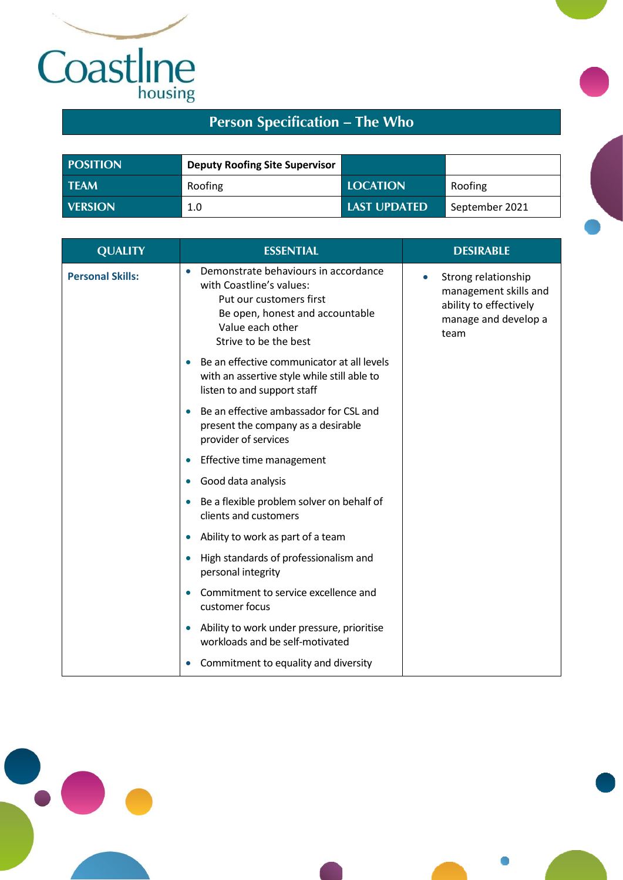

 $\bullet$ 

# **Person Specification – The Who**

| <b>POSITION</b> | <b>Deputy Roofing Site Supervisor</b> |                     |                |
|-----------------|---------------------------------------|---------------------|----------------|
| <b>TEAM</b>     | Roofing                               | <b>LOCATION</b>     | Roofing        |
| <b>VERSION</b>  | 1.0                                   | <b>LAST UPDATED</b> | September 2021 |

| <b>QUALITY</b>          | <b>ESSENTIAL</b>                                                                                                                                                            | <b>DESIRABLE</b>                                                                                                    |
|-------------------------|-----------------------------------------------------------------------------------------------------------------------------------------------------------------------------|---------------------------------------------------------------------------------------------------------------------|
| <b>Personal Skills:</b> | Demonstrate behaviours in accordance<br>with Coastline's values:<br>Put our customers first<br>Be open, honest and accountable<br>Value each other<br>Strive to be the best | Strong relationship<br>$\bullet$<br>management skills and<br>ability to effectively<br>manage and develop a<br>team |
|                         | Be an effective communicator at all levels<br>with an assertive style while still able to<br>listen to and support staff                                                    |                                                                                                                     |
|                         | Be an effective ambassador for CSL and<br>present the company as a desirable<br>provider of services                                                                        |                                                                                                                     |
|                         | Effective time management                                                                                                                                                   |                                                                                                                     |
|                         | Good data analysis                                                                                                                                                          |                                                                                                                     |
|                         | Be a flexible problem solver on behalf of<br>clients and customers                                                                                                          |                                                                                                                     |
|                         | Ability to work as part of a team                                                                                                                                           |                                                                                                                     |
|                         | High standards of professionalism and<br>personal integrity                                                                                                                 |                                                                                                                     |
|                         | Commitment to service excellence and<br>customer focus                                                                                                                      |                                                                                                                     |
|                         | Ability to work under pressure, prioritise<br>workloads and be self-motivated                                                                                               |                                                                                                                     |
|                         | Commitment to equality and diversity                                                                                                                                        |                                                                                                                     |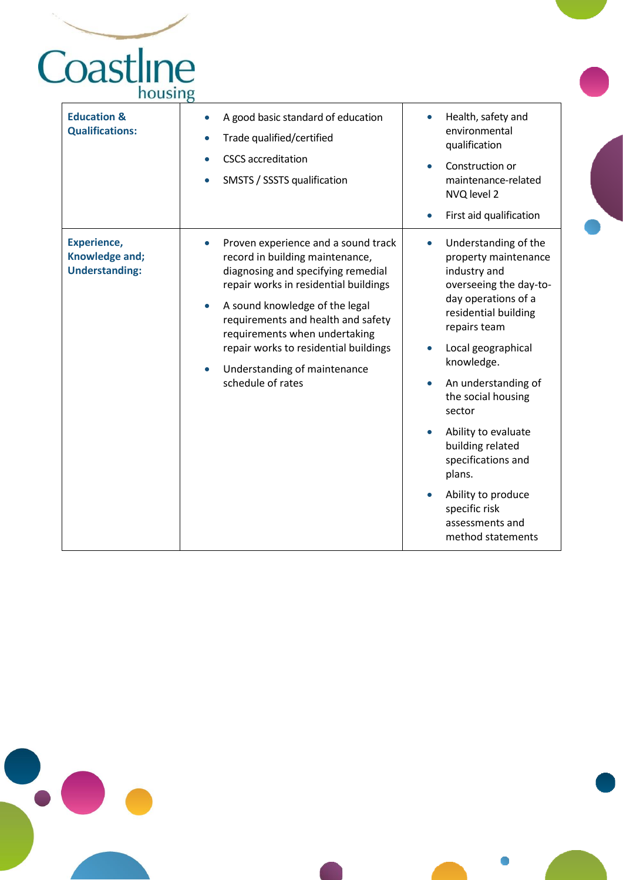# Cornwall TR<sub>1</sub>

| <b>Education &amp;</b><br><b>Qualifications:</b>              | A good basic standard of education<br>Trade qualified/certified<br><b>CSCS</b> accreditation<br>SMSTS / SSSTS qualification<br>$\bullet$                                                                                                                                                                                                                                                            | Health, safety and<br>environmental<br>qualification<br>Construction or<br>$\bullet$<br>maintenance-related<br>NVQ level 2<br>First aid qualification<br>$\bullet$                                                                                                                                                                                                                                                                                             |
|---------------------------------------------------------------|-----------------------------------------------------------------------------------------------------------------------------------------------------------------------------------------------------------------------------------------------------------------------------------------------------------------------------------------------------------------------------------------------------|----------------------------------------------------------------------------------------------------------------------------------------------------------------------------------------------------------------------------------------------------------------------------------------------------------------------------------------------------------------------------------------------------------------------------------------------------------------|
| <b>Experience,</b><br>Knowledge and;<br><b>Understanding:</b> | Proven experience and a sound track<br>$\bullet$<br>record in building maintenance,<br>diagnosing and specifying remedial<br>repair works in residential buildings<br>A sound knowledge of the legal<br>$\bullet$<br>requirements and health and safety<br>requirements when undertaking<br>repair works to residential buildings<br>Understanding of maintenance<br>$\bullet$<br>schedule of rates | Understanding of the<br>$\bullet$<br>property maintenance<br>industry and<br>overseeing the day-to-<br>day operations of a<br>residential building<br>repairs team<br>Local geographical<br>$\bullet$<br>knowledge.<br>An understanding of<br>$\bullet$<br>the social housing<br>sector<br>Ability to evaluate<br>$\bullet$<br>building related<br>specifications and<br>plans.<br>Ability to produce<br>specific risk<br>assessments and<br>method statements |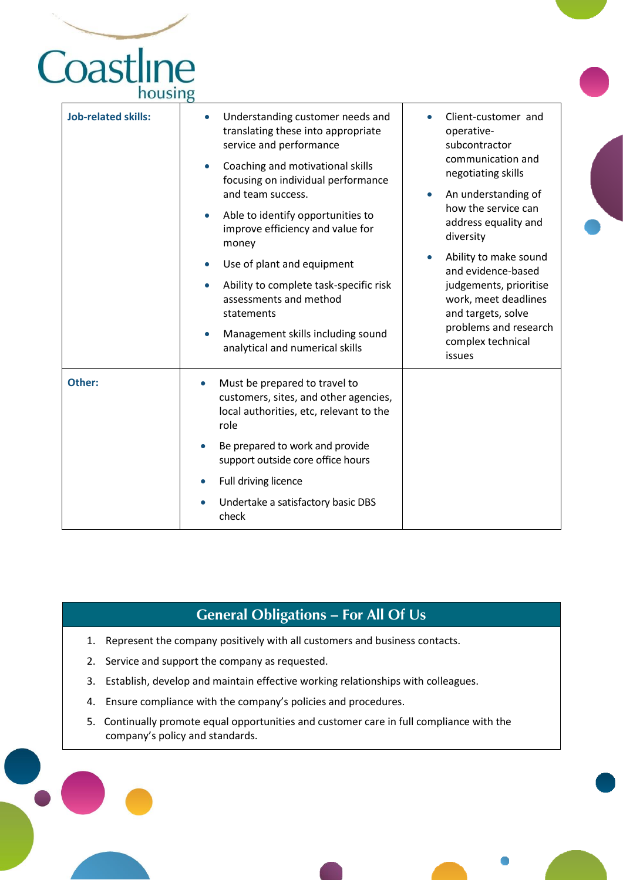## Cornwall TR<sub>1</sub> housing

| <b>Job-related skills:</b> | Understanding customer needs and<br>translating these into appropriate<br>service and performance<br>Coaching and motivational skills<br>$\bullet$ | Client-customer and<br>operative-<br>subcontractor<br>communication and<br>negotiating skills                      |
|----------------------------|----------------------------------------------------------------------------------------------------------------------------------------------------|--------------------------------------------------------------------------------------------------------------------|
|                            | focusing on individual performance<br>and team success.                                                                                            | An understanding of<br>$\bullet$                                                                                   |
|                            | Able to identify opportunities to<br>$\bullet$<br>improve efficiency and value for<br>money                                                        | how the service can<br>address equality and<br>diversity                                                           |
|                            | Use of plant and equipment<br>$\bullet$                                                                                                            | Ability to make sound<br>and evidence-based                                                                        |
|                            | Ability to complete task-specific risk<br>$\bullet$<br>assessments and method<br>statements<br>Management skills including sound<br>$\bullet$      | judgements, prioritise<br>work, meet deadlines<br>and targets, solve<br>problems and research<br>complex technical |
|                            | analytical and numerical skills                                                                                                                    | issues                                                                                                             |
| Other:                     | Must be prepared to travel to<br>customers, sites, and other agencies,<br>local authorities, etc, relevant to the<br>role                          |                                                                                                                    |
|                            | Be prepared to work and provide<br>support outside core office hours                                                                               |                                                                                                                    |
|                            | Full driving licence<br>$\bullet$                                                                                                                  |                                                                                                                    |
|                            | Undertake a satisfactory basic DBS<br>check                                                                                                        |                                                                                                                    |

### **General Obligations – For All Of Us**

- 1. Represent the company positively with all customers and business contacts.
- 2. Service and support the company as requested.

- 3. Establish, develop and maintain effective working relationships with colleagues.
- 4. Ensure compliance with the company's policies and procedures.
- 5. Continually promote equal opportunities and customer care in full compliance with the company's policy and standards.